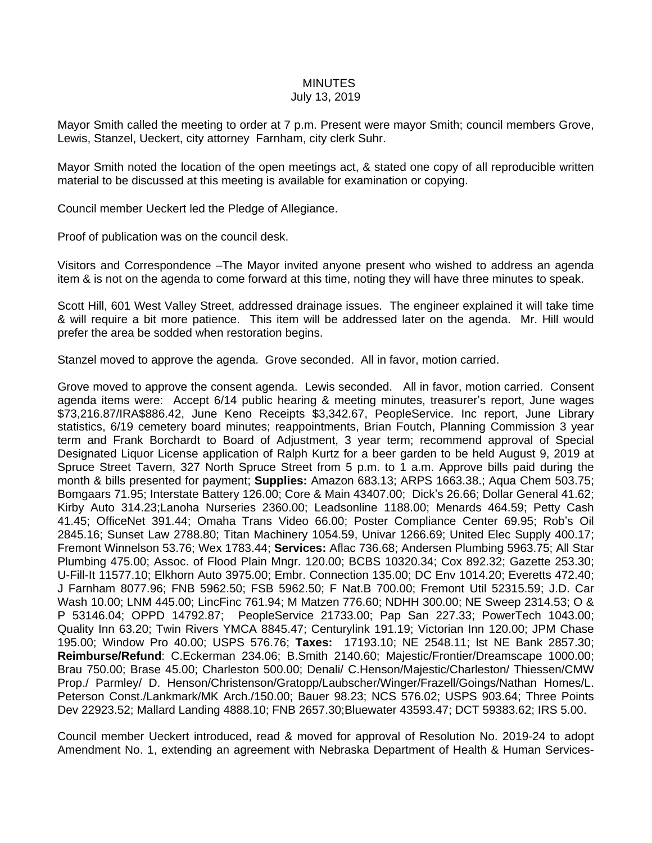## **MINUTES**

## July 13, 2019

Mayor Smith called the meeting to order at 7 p.m. Present were mayor Smith; council members Grove, Lewis, Stanzel, Ueckert, city attorney Farnham, city clerk Suhr.

Mayor Smith noted the location of the open meetings act, & stated one copy of all reproducible written material to be discussed at this meeting is available for examination or copying.

Council member Ueckert led the Pledge of Allegiance.

Proof of publication was on the council desk.

Visitors and Correspondence –The Mayor invited anyone present who wished to address an agenda item & is not on the agenda to come forward at this time, noting they will have three minutes to speak.

Scott Hill, 601 West Valley Street, addressed drainage issues. The engineer explained it will take time & will require a bit more patience. This item will be addressed later on the agenda. Mr. Hill would prefer the area be sodded when restoration begins.

Stanzel moved to approve the agenda. Grove seconded. All in favor, motion carried.

Grove moved to approve the consent agenda. Lewis seconded. All in favor, motion carried. Consent agenda items were: Accept 6/14 public hearing & meeting minutes, treasurer's report, June wages \$73,216.87/IRA\$886.42, June Keno Receipts \$3,342.67, PeopleService. Inc report, June Library statistics, 6/19 cemetery board minutes; reappointments, Brian Foutch, Planning Commission 3 year term and Frank Borchardt to Board of Adjustment, 3 year term; recommend approval of Special Designated Liquor License application of Ralph Kurtz for a beer garden to be held August 9, 2019 at Spruce Street Tavern, 327 North Spruce Street from 5 p.m. to 1 a.m. Approve bills paid during the month & bills presented for payment; **Supplies:** Amazon 683.13; ARPS 1663.38.; Aqua Chem 503.75; Bomgaars 71.95; Interstate Battery 126.00; Core & Main 43407.00; Dick's 26.66; Dollar General 41.62; Kirby Auto 314.23;Lanoha Nurseries 2360.00; Leadsonline 1188.00; Menards 464.59; Petty Cash 41.45; OfficeNet 391.44; Omaha Trans Video 66.00; Poster Compliance Center 69.95; Rob's Oil 2845.16; Sunset Law 2788.80; Titan Machinery 1054.59, Univar 1266.69; United Elec Supply 400.17; Fremont Winnelson 53.76; Wex 1783.44; **Services:** Aflac 736.68; Andersen Plumbing 5963.75; All Star Plumbing 475.00; Assoc. of Flood Plain Mngr. 120.00; BCBS 10320.34; Cox 892.32; Gazette 253.30; U-Fill-It 11577.10; Elkhorn Auto 3975.00; Embr. Connection 135.00; DC Env 1014.20; Everetts 472.40; J Farnham 8077.96; FNB 5962.50; FSB 5962.50; F Nat.B 700.00; Fremont Util 52315.59; J.D. Car Wash 10.00; LNM 445.00; LincFinc 761.94; M Matzen 776.60; NDHH 300.00; NE Sweep 2314.53; O & P 53146.04; OPPD 14792.87; PeopleService 21733.00; Pap San 227.33; PowerTech 1043.00; Quality Inn 63.20; Twin Rivers YMCA 8845.47; Centurylink 191.19; Victorian Inn 120.00; JPM Chase 195.00; Window Pro 40.00; USPS 576.76; **Taxes:** 17193.10; NE 2548.11; lst NE Bank 2857.30; **Reimburse/Refund**: C.Eckerman 234.06; B.Smith 2140.60; Majestic/Frontier/Dreamscape 1000.00; Brau 750.00; Brase 45.00; Charleston 500.00; Denali/ C.Henson/Majestic/Charleston/ Thiessen/CMW Prop./ Parmley/ D. Henson/Christenson/Gratopp/Laubscher/Winger/Frazell/Goings/Nathan Homes/L. Peterson Const./Lankmark/MK Arch./150.00; Bauer 98.23; NCS 576.02; USPS 903.64; Three Points Dev 22923.52; Mallard Landing 4888.10; FNB 2657.30;Bluewater 43593.47; DCT 59383.62; IRS 5.00.

Council member Ueckert introduced, read & moved for approval of Resolution No. 2019-24 to adopt Amendment No. 1, extending an agreement with Nebraska Department of Health & Human Services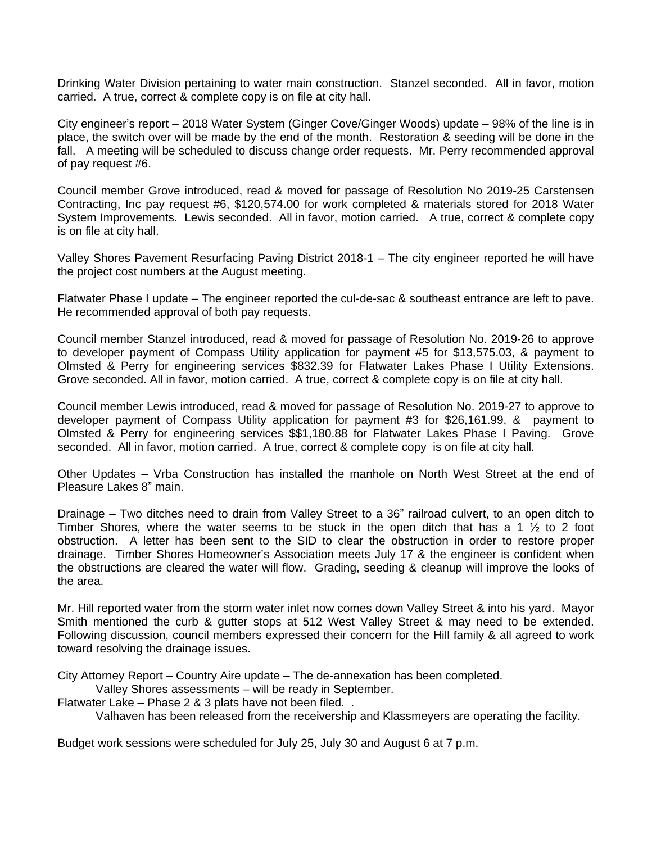Drinking Water Division pertaining to water main construction. Stanzel seconded. All in favor, motion carried. A true, correct & complete copy is on file at city hall.

City engineer's report – 2018 Water System (Ginger Cove/Ginger Woods) update – 98% of the line is in place, the switch over will be made by the end of the month. Restoration & seeding will be done in the fall. A meeting will be scheduled to discuss change order requests. Mr. Perry recommended approval of pay request #6.

Council member Grove introduced, read & moved for passage of Resolution No 2019-25 Carstensen Contracting, Inc pay request #6, \$120,574.00 for work completed & materials stored for 2018 Water System Improvements. Lewis seconded. All in favor, motion carried. A true, correct & complete copy is on file at city hall.

Valley Shores Pavement Resurfacing Paving District 2018-1 – The city engineer reported he will have the project cost numbers at the August meeting.

Flatwater Phase I update – The engineer reported the cul-de-sac & southeast entrance are left to pave. He recommended approval of both pay requests.

Council member Stanzel introduced, read & moved for passage of Resolution No. 2019-26 to approve to developer payment of Compass Utility application for payment #5 for \$13,575.03, & payment to Olmsted & Perry for engineering services \$832.39 for Flatwater Lakes Phase I Utility Extensions. Grove seconded. All in favor, motion carried. A true, correct & complete copy is on file at city hall.

Council member Lewis introduced, read & moved for passage of Resolution No. 2019-27 to approve to developer payment of Compass Utility application for payment #3 for \$26,161.99, & payment to Olmsted & Perry for engineering services \$\$1,180.88 for Flatwater Lakes Phase I Paving. Grove seconded. All in favor, motion carried. A true, correct & complete copy is on file at city hall.

Other Updates – Vrba Construction has installed the manhole on North West Street at the end of Pleasure Lakes 8" main.

Drainage – Two ditches need to drain from Valley Street to a 36" railroad culvert, to an open ditch to Timber Shores, where the water seems to be stuck in the open ditch that has a 1  $\frac{1}{2}$  to 2 foot obstruction. A letter has been sent to the SID to clear the obstruction in order to restore proper drainage. Timber Shores Homeowner's Association meets July 17 & the engineer is confident when the obstructions are cleared the water will flow. Grading, seeding & cleanup will improve the looks of the area.

Mr. Hill reported water from the storm water inlet now comes down Valley Street & into his yard. Mayor Smith mentioned the curb & gutter stops at 512 West Valley Street & may need to be extended. Following discussion, council members expressed their concern for the Hill family & all agreed to work toward resolving the drainage issues.

City Attorney Report – Country Aire update – The de-annexation has been completed.

Valley Shores assessments – will be ready in September.

Flatwater Lake – Phase 2 & 3 plats have not been filed. .

Valhaven has been released from the receivership and Klassmeyers are operating the facility.

Budget work sessions were scheduled for July 25, July 30 and August 6 at 7 p.m.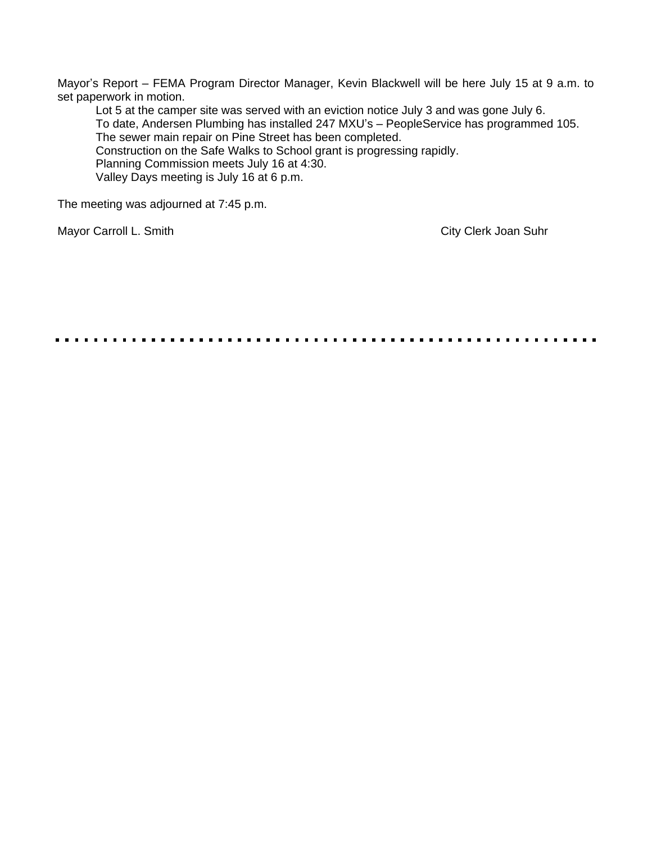Mayor's Report – FEMA Program Director Manager, Kevin Blackwell will be here July 15 at 9 a.m. to set paperwork in motion.

Lot 5 at the camper site was served with an eviction notice July 3 and was gone July 6. To date, Andersen Plumbing has installed 247 MXU's – PeopleService has programmed 105. The sewer main repair on Pine Street has been completed. Construction on the Safe Walks to School grant is progressing rapidly. Planning Commission meets July 16 at 4:30. Valley Days meeting is July 16 at 6 p.m.

The meeting was adjourned at 7:45 p.m.

Mayor Carroll L. Smith City Clerk Joan Suhr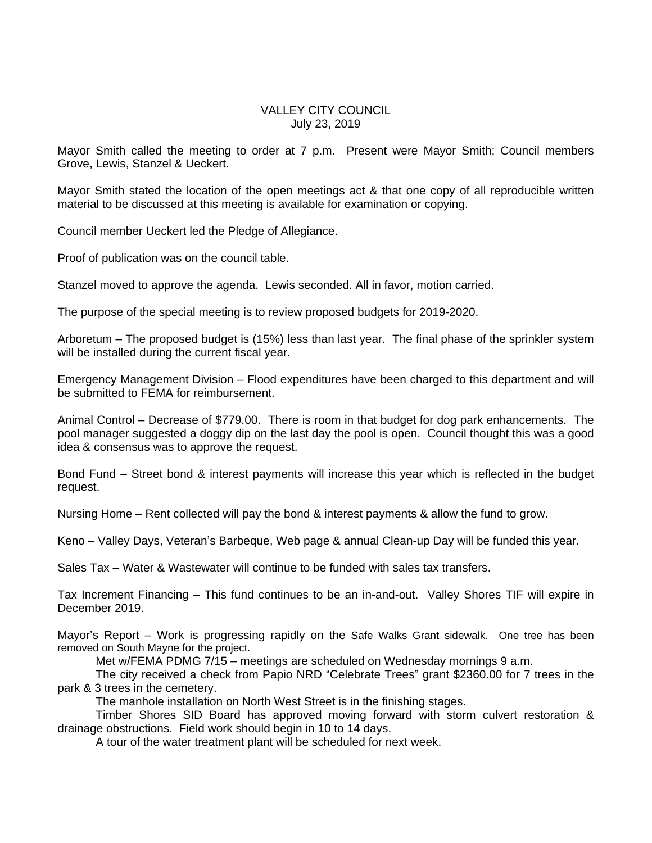## VALLEY CITY COUNCIL July 23, 2019

Mayor Smith called the meeting to order at 7 p.m. Present were Mayor Smith; Council members Grove, Lewis, Stanzel & Ueckert.

Mayor Smith stated the location of the open meetings act & that one copy of all reproducible written material to be discussed at this meeting is available for examination or copying.

Council member Ueckert led the Pledge of Allegiance.

Proof of publication was on the council table.

Stanzel moved to approve the agenda. Lewis seconded. All in favor, motion carried.

The purpose of the special meeting is to review proposed budgets for 2019-2020.

Arboretum – The proposed budget is (15%) less than last year. The final phase of the sprinkler system will be installed during the current fiscal year.

Emergency Management Division – Flood expenditures have been charged to this department and will be submitted to FEMA for reimbursement.

Animal Control – Decrease of \$779.00. There is room in that budget for dog park enhancements. The pool manager suggested a doggy dip on the last day the pool is open. Council thought this was a good idea & consensus was to approve the request.

Bond Fund – Street bond & interest payments will increase this year which is reflected in the budget request.

Nursing Home – Rent collected will pay the bond & interest payments & allow the fund to grow.

Keno – Valley Days, Veteran's Barbeque, Web page & annual Clean-up Day will be funded this year.

Sales Tax – Water & Wastewater will continue to be funded with sales tax transfers.

Tax Increment Financing – This fund continues to be an in-and-out. Valley Shores TIF will expire in December 2019.

Mayor's Report – Work is progressing rapidly on the Safe Walks Grant sidewalk. One tree has been removed on South Mayne for the project.

Met w/FEMA PDMG 7/15 – meetings are scheduled on Wednesday mornings 9 a.m.

The city received a check from Papio NRD "Celebrate Trees" grant \$2360.00 for 7 trees in the park & 3 trees in the cemetery.

The manhole installation on North West Street is in the finishing stages.

Timber Shores SID Board has approved moving forward with storm culvert restoration & drainage obstructions. Field work should begin in 10 to 14 days.

A tour of the water treatment plant will be scheduled for next week.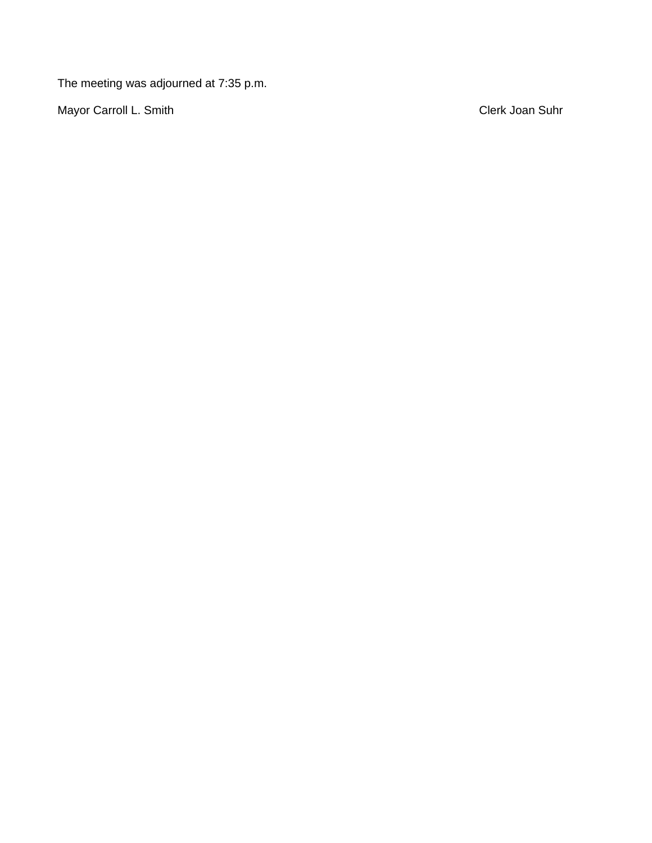The meeting was adjourned at 7:35 p.m.

Mayor Carroll L. Smith Clerk Joan Suhr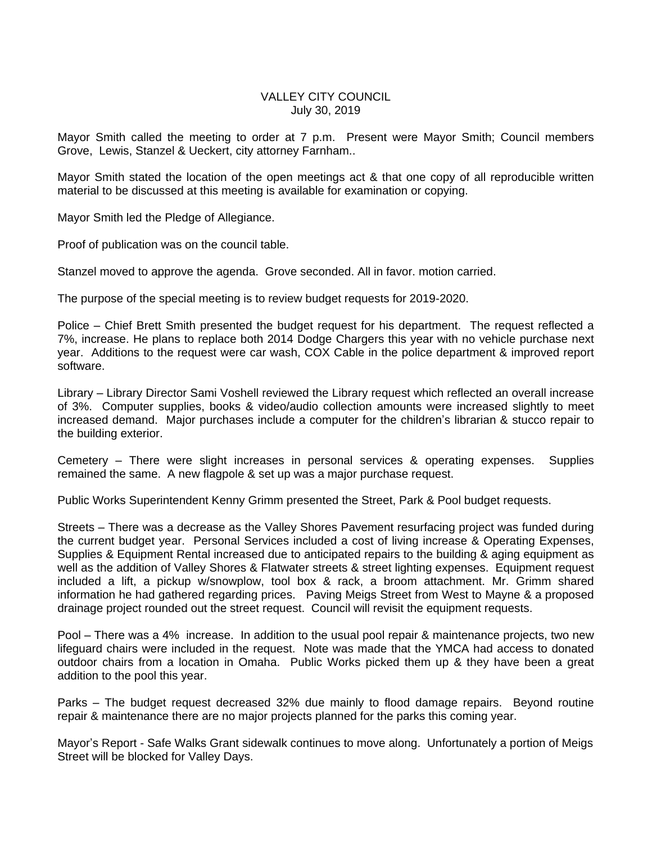## VALLEY CITY COUNCIL July 30, 2019

Mayor Smith called the meeting to order at 7 p.m. Present were Mayor Smith; Council members Grove, Lewis, Stanzel & Ueckert, city attorney Farnham..

Mayor Smith stated the location of the open meetings act & that one copy of all reproducible written material to be discussed at this meeting is available for examination or copying.

Mayor Smith led the Pledge of Allegiance.

Proof of publication was on the council table.

Stanzel moved to approve the agenda. Grove seconded. All in favor. motion carried.

The purpose of the special meeting is to review budget requests for 2019-2020.

Police – Chief Brett Smith presented the budget request for his department. The request reflected a 7%, increase. He plans to replace both 2014 Dodge Chargers this year with no vehicle purchase next year. Additions to the request were car wash, COX Cable in the police department & improved report software.

Library – Library Director Sami Voshell reviewed the Library request which reflected an overall increase of 3%. Computer supplies, books & video/audio collection amounts were increased slightly to meet increased demand. Major purchases include a computer for the children's librarian & stucco repair to the building exterior.

Cemetery – There were slight increases in personal services & operating expenses. Supplies remained the same. A new flagpole & set up was a major purchase request.

Public Works Superintendent Kenny Grimm presented the Street, Park & Pool budget requests.

Streets – There was a decrease as the Valley Shores Pavement resurfacing project was funded during the current budget year. Personal Services included a cost of living increase & Operating Expenses, Supplies & Equipment Rental increased due to anticipated repairs to the building & aging equipment as well as the addition of Valley Shores & Flatwater streets & street lighting expenses. Equipment request included a lift, a pickup w/snowplow, tool box & rack, a broom attachment. Mr. Grimm shared information he had gathered regarding prices. Paving Meigs Street from West to Mayne & a proposed drainage project rounded out the street request. Council will revisit the equipment requests.

Pool – There was a 4% increase. In addition to the usual pool repair & maintenance projects, two new lifeguard chairs were included in the request. Note was made that the YMCA had access to donated outdoor chairs from a location in Omaha. Public Works picked them up & they have been a great addition to the pool this year.

Parks – The budget request decreased 32% due mainly to flood damage repairs. Beyond routine repair & maintenance there are no major projects planned for the parks this coming year.

Mayor's Report - Safe Walks Grant sidewalk continues to move along. Unfortunately a portion of Meigs Street will be blocked for Valley Days.